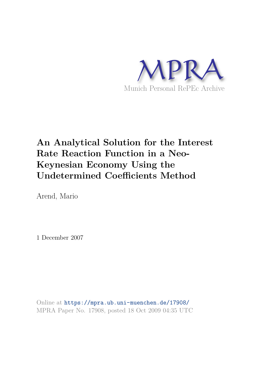

# **An Analytical Solution for the Interest Rate Reaction Function in a Neo-Keynesian Economy Using the Undetermined Coefficients Method**

Arend, Mario

1 December 2007

Online at https://mpra.ub.uni-muenchen.de/17908/ MPRA Paper No. 17908, posted 18 Oct 2009 04:35 UTC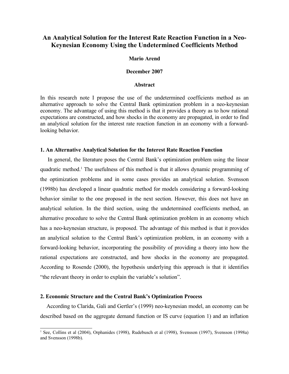### **An Analytical Solution for the Interest Rate Reaction Function in a Neo-Keynesian Economy Using the Undetermined Coefficients Method**

#### **Mario Arend**

#### **December 2007**

#### **Abstract**

In this research note I propose the use of the undetermined coefficients method as an alternative approach to solve the Central Bank optimization problem in a neo-keynesian economy. The advantage of using this method is that it provides a theory as to how rational expectations are constructed, and how shocks in the economy are propagated, in order to find an analytical solution for the interest rate reaction function in an economy with a forwardlooking behavior.

#### **1. An Alternative Analytical Solution for the Interest Rate Reaction Function**

 In general, the literature poses the Central Bank's optimization problem using the linear quadratic method.<sup>1</sup> The usefulness of this method is that it allows dynamic programming of the optimization problems and in some cases provides an analytical solution. Svensson (1998b) has developed a linear quadratic method for models considering a forward-looking behavior similar to the one proposed in the next section. However, this does not have an analytical solution. In the third section, using the undetermined coefficients method, an alternative procedure to solve the Central Bank optimization problem in an economy which has a neo-keynesian structure, is proposed. The advantage of this method is that it provides an analytical solution to the Central Bank's optimization problem, in an economy with a forward-looking behavior, incorporating the possibility of providing a theory into how the rational expectations are constructed, and how shocks in the economy are propagated. According to Rosende (2000), the hypothesis underlying this approach is that it identifies "the relevant theory in order to explain the variable's solution".

#### **2. Economic Structure and the Central Bank's Optimization Process**

According to Clarida, Gali and Gertler's (1999) neo-keynesian model, an economy can be described based on the aggregate demand function or IS curve (equation 1) and an inflation

<sup>1</sup> See, Collins et al (2004), Orphanides (1998), Rudebusch et al (1998), Svensson (1997), Svensson (1998a) and Svensson (1998b).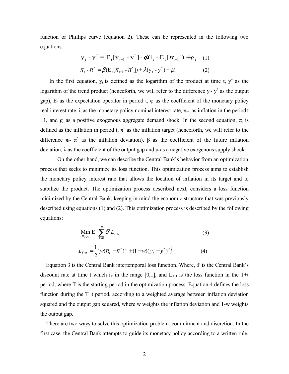function or Phillips curve (equation 2). These can be represented in the following two equations:

$$
y_{t} - y^{*} = E_{t}[y_{t+1} - y^{*}] - \varphi(i_{t} - E_{t}[\pi_{t+1}]) + g_{t} \quad (1)
$$
  

$$
\pi_{t} - \pi^{*} = \beta(E_{t}[\pi_{t+1} - \pi^{*}]) + \lambda(y_{t} - y^{*}) + \mu_{t} \quad (2)
$$

In the first equation,  $y_t$  is defined as the logarithm of the product at time t,  $y^*$  as the logarithm of the trend product (henceforth, we will refer to the difference  $y_t$ -  $y^*$  as the output gap),  $E_t$  as the expectation operator in period t,  $\varphi$  as the coefficient of the monetary policy real interest rate, it as the monetary policy nominal interest rate,  $\pi_{t+1}$  as inflation in the period t +1, and  $g_t$  as a positive exogenous aggregate demand shock. In the second equation,  $\pi_t$  is defined as the inflation in period t,  $\pi^*$  as the inflation target (henceforth, we will refer to the difference  $\pi_{t}$ -  $\pi^*$  as the inflation deviation),  $\beta$  as the coefficient of the future inflation deviation,  $\lambda$  as the coefficient of the output gap and  $\mu_t$  as a negative exogenous supply shock.

 On the other hand, we can describe the Central Bank's behavior from an optimization process that seeks to minimize its loss function. This optimization process aims to establish the monetary policy interest rate that allows the location of inflation in its target and to stabilize the product. The optimization process described next, considers a loss function minimized by the Central Bank, keeping in mind the economic structure that was previously described using equations (1) and (2). This optimization process is described by the following equations:

$$
\begin{aligned} \min_{\pi_t, y_t} \mathbf{E}_t & \sum_{t=0}^{\infty} \delta^t L_{T+t} \tag{3} \\ L_{T+t} &= \frac{1}{2} \Big\{ w(\pi_t - \pi^*)^2 + (1 - w)(y_t - y^*)^2 \Big\} \end{aligned}
$$

Equation 3 is the Central Bank intertemporal loss function. Where,  $\delta^t$  is the Central Bank's discount rate at time t which is in the range [0,1], and  $L_{T+t}$  is the loss function in the T+t period, where T is the starting period in the optimization process. Equation 4 defines the loss function during the T+t period, according to a weighted average between inflation deviation squared and the output gap squared, where w weights the inflation deviation and 1-w weights the output gap.

 There are two ways to solve this optimization problem: commitment and discretion. In the first case, the Central Bank attempts to guide its monetary policy according to a written rule.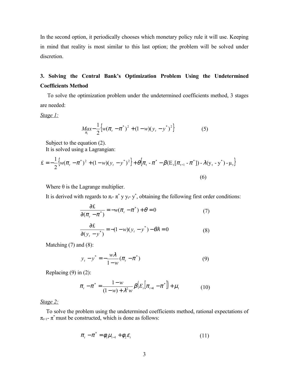In the second option, it periodically chooses which monetary policy rule it will use. Keeping in mind that reality is most similar to this last option; the problem will be solved under discretion.

## **3. Solving the Central Bank's Optimization Problem Using the Undetermined Coefficients Method**

 To solve the optimization problem under the undetermined coefficients method, 3 stages are needed:

*Stage 1:*

$$
Max_{\pi_t} - \frac{1}{2} \left\{ w(\pi_t - \pi^*)^2 + (1 - w)(y_t - y^*)^2 \right\}
$$
 (5)

Subject to the equation (2).

It is solved using a Lagrangian:

$$
\pounds = -\frac{1}{2} \{ w(\pi_t - \pi^*)^2 + (1 - w)(y_t - y^*)^2 \} + \theta \{ \pi_t - \pi^* - \beta (E_t [\pi_{t+1} - \pi^*]) - \lambda (y_t - y^*) - \mu_t \}
$$
\n(6)

Where  $\theta$  is the Lagrange multiplier.

It is derived with regards to  $\pi_t$ -  $\pi^*$  y  $y_t$ - y<sup>\*</sup>, obtaining the following first order conditions:

$$
\frac{\partial \pounds}{\partial (\pi_t - \pi^*)} = -w(\pi_t - \pi^*) + \theta = 0 \tag{7}
$$

$$
\frac{\partial \mathcal{L}}{\partial (y_t - y^*)} = -(1 - w)(y_t - y^*) - \theta \lambda = 0 \tag{8}
$$

Matching  $(7)$  and  $(8)$ :

$$
y_{t} - y^{*} = -\frac{w\lambda}{1 - w}(\pi_{t} - \pi^{*})
$$
\n(9)

Replacing (9) in (2):

$$
\pi_{t} - \pi^{*} = \frac{1 - w}{(1 - w) + \lambda^{2} w} \beta \big( E_{t} \big[ \pi_{t+1} - \pi^{*} \big] \big] + \mu_{t}
$$
(10)

#### *Stage 2:*

 To solve the problem using the undetermined coefficients method, rational expectations of  $\pi_{t+1}$ -  $\pi^*$  must be constructed, which is done as follows:

$$
\pi_t - \pi^* = \phi_1 \mu_{t-1} + \phi_2 \varepsilon_t \tag{11}
$$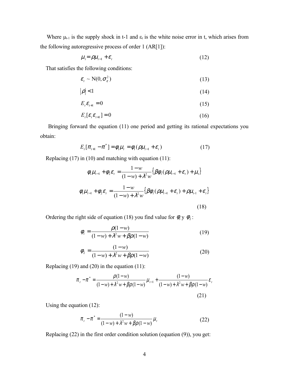Where  $\mu_{t-1}$  is the supply shock in t-1 and  $\varepsilon_t$  is the white noise error in t, which arises from the following autoregressive process of order 1 (AR[1]):

$$
\mu_i = \rho \mu_{i-1} + \varepsilon_i \tag{12}
$$

That satisfies the following conditions:

$$
\varepsilon_t \sim \mathcal{N}(0, \sigma_\varepsilon^2) \tag{13}
$$

$$
|\rho| < 1\tag{14}
$$

$$
E_t \varepsilon_{t+1} = 0 \tag{15}
$$

$$
E_t[\varepsilon_t \varepsilon_{t+1}] = 0 \tag{16}
$$

 Bringing forward the equation (11) one period and getting its rational expectations you obtain:

$$
E_{t}[\pi_{t+1} - \pi^*] = \phi_1 \mu_t = \phi_1(\rho \mu_{t-1} + \varepsilon_t)
$$
 (17)

Replacing (17) in (10) and matching with equation (11):

$$
\phi_1 \mu_{t-1} + \phi_2 \varepsilon_t = \frac{1 - w}{(1 - w) + \lambda^2 w} \{ \beta \phi_1 (\rho \mu_{t-1} + \varepsilon_t) + \mu_t \}
$$

$$
\phi_1 \mu_{t-1} + \phi_2 \varepsilon_t = \frac{1 - w}{(1 - w) + \lambda^2 w} \{ \beta \phi_1 (\rho \mu_{t-1} + \varepsilon_t) + \rho \mu_{t-1} + \varepsilon_t \}
$$
(18)

Ordering the right side of equation (18) you find value for  $\phi_1 y \phi_2$ :

$$
\phi_1 = \frac{\rho(1 - w)}{(1 - w) + \lambda^2 w + \beta \rho(1 - w)}
$$
(19)

$$
\phi_2 = \frac{(1 - w)}{(1 - w) + \lambda^2 w + \beta \rho (1 - w)}
$$
(20)

Replacing (19) and (20) in the equation (11):

$$
\pi_{t} - \pi^{*} = \frac{\rho(1 - w)}{(1 - w) + \lambda^{2} w + \beta \rho(1 - w)} \mu_{t-1} + \frac{(1 - w)}{(1 - w) + \lambda^{2} w + \beta \rho(1 - w)} \varepsilon_{t}
$$
\n(21)

Using the equation (12):

$$
\pi_t - \pi^* = \frac{(1 - w)}{(1 - w) + \lambda^2 w + \beta \rho (1 - w)} \mu_t
$$
\n(22)

Replacing (22) in the first order condition solution (equation (9)), you get: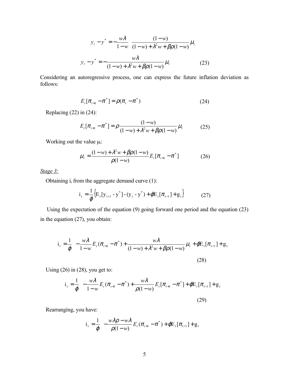$$
y_t - y^* = -\frac{w\lambda}{1 - w} \left( \frac{(1 - w)}{(1 - w) + \lambda^2 w + \beta \rho (1 - w)} \mu_t \right)
$$
  

$$
y_t - y^* = -\frac{w\lambda}{(1 - w) + \lambda^2 w + \beta \rho (1 - w)} \mu_t
$$
 (23)

Considering an autoregressive process, one can express the future inflation deviation as follows:

$$
E_t[\pi_{t+1} - \pi^*] = \rho(\pi_t - \pi^*)
$$
\n(24)

Replacing (22) in (24):

$$
E_t[\pi_{t+1} - \pi^*] = \rho \frac{(1 - w)}{(1 - w) + \lambda^2 w + \beta \rho (1 - w)} \mu_t
$$
 (25)

Working out the value  $\mu_t$ :

$$
\mu_{t} = \frac{(1 - w) + \lambda^{2} w + \beta \rho (1 - w)}{\rho (1 - w)} E_{t} [\pi_{t+1} - \pi^{*}]
$$
\n(26)

*Stage 3:*

Obtaining  $i_t$  from the aggregate demand curve (1):

$$
i_{t} = \frac{1}{\varphi} \Big\{ E_{t} [y_{t+1} - y^*] - (y_{t} - y^*) + \varphi E_{t} [\pi_{t+1}] + g_{t} \Big\}
$$
 (27)

 Using the expectation of the equation (9) going forward one period and the equation (23) in the equation (27), you obtain:

$$
i_{t} = \frac{1}{\varphi} \left\{ -\frac{w\lambda}{1 - w} E_{t} (\pi_{t+1} - \pi^{*}) + \frac{w\lambda}{(1 - w) + \lambda^{2} w + \beta \rho (1 - w)} \mu_{t} + \varphi E_{t} [\pi_{t+1}] + g_{t} \right\}
$$
\n(28)

Using  $(26)$  in  $(28)$ , you get to:

$$
i_{t} = \frac{1}{\varphi} \left\{ -\frac{w\lambda}{1 - w} E_{t} (\pi_{t+1} - \pi^{*}) + \frac{w\lambda}{\rho(1 - w)} E_{t} [\pi_{t+1} - \pi^{*}] + \varphi E_{t} [\pi_{t+1}] + g_{t} \right\}
$$
\n(29)

Rearranging, you have:

$$
i_t = \frac{1}{\varphi} \left\{ -\frac{w\lambda \rho - w\lambda}{\rho(1-w)} E_t(\pi_{t+1} - \pi^*) + \varphi E_t[\pi_{t+1}] + g_t \right\}
$$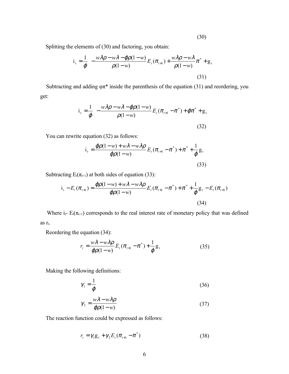(30)

Splitting the elements of (30) and factoring, you obtain:

$$
i_{t} = \frac{1}{\varphi} \left\{ -\frac{w\lambda\rho - w\lambda - \varphi\rho(1-w)}{\rho(1-w)} E_{t}(\pi_{t+1}) + \frac{w\lambda\rho - w\lambda}{\rho(1-w)} \pi^{*} + g_{t} \right\}
$$
(31)

Subtracting and adding  $\varphi \pi^*$  inside the parenthesis of the equation (31) and reordering, you get:

$$
i_{t} = \frac{1}{\varphi} \left\{ -\frac{w\lambda \rho - w\lambda - \varphi \rho (1 - w)}{\rho (1 - w)} E_{t} (\pi_{t+1} - \pi^{*}) + \varphi \pi^{*} + g_{t} \right\}
$$
(32)

You can rewrite equation (32) as follows:

$$
i_{t} = \frac{\varphi \rho (1 - w) + w\lambda - w\lambda \rho}{\varphi \rho (1 - w)} E_{t} (\pi_{t+1} - \pi^{*}) + \pi^{*} + \frac{1}{\varphi} g_{t}
$$
\n(33)

Subtracting  $E_t(\pi_{t+1})$  at both sides of equation (33):

$$
i_{t} - E_{t}(\pi_{t+1}) = \frac{\varphi \rho(1-w) + w\lambda - w\lambda \rho}{\varphi \rho(1-w)} E_{t}(\pi_{t+1} - \pi^{*}) + \pi^{*} + \frac{1}{\varphi} g_{t} - E_{t}(\pi_{t+1})
$$
\n(34)

Where  $i_t$ -  $E_t(\pi_{t+1})$  corresponds to the real interest rate of monetary policy that was defined as  $r_t$ .

Reordering the equation (34):

$$
r_{t} = \frac{w\lambda - w\lambda\rho}{\varphi\rho(1 - w)} E_{t}(\pi_{t+1} - \pi^{*}) + \frac{1}{\varphi}g_{t}
$$
(35)

Making the following definitions:

$$
\gamma_1 = \frac{1}{\varphi} \tag{36}
$$

$$
\gamma_2 = \frac{w\lambda - w\lambda\rho}{\varphi\rho(1 - w)}\tag{37}
$$

The reaction function could be expressed as follows:

$$
r_{t} = \gamma_{1} g_{t} + \gamma_{2} E_{t} (\pi_{t+1} - \pi^{*})
$$
\n(38)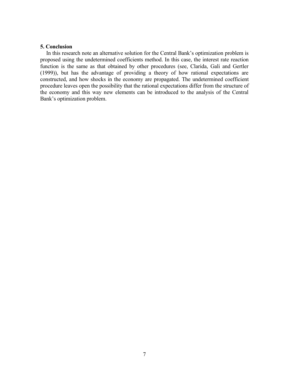#### **5. Conclusion**

 In this research note an alternative solution for the Central Bank's optimization problem is proposed using the undetermined coefficients method. In this case, the interest rate reaction function is the same as that obtained by other procedures (see, Clarida, Gali and Gertler (1999)), but has the advantage of providing a theory of how rational expectations are constructed, and how shocks in the economy are propagated. The undetermined coefficient procedure leaves open the possibility that the rational expectations differ from the structure of the economy and this way new elements can be introduced to the analysis of the Central Bank's optimization problem.